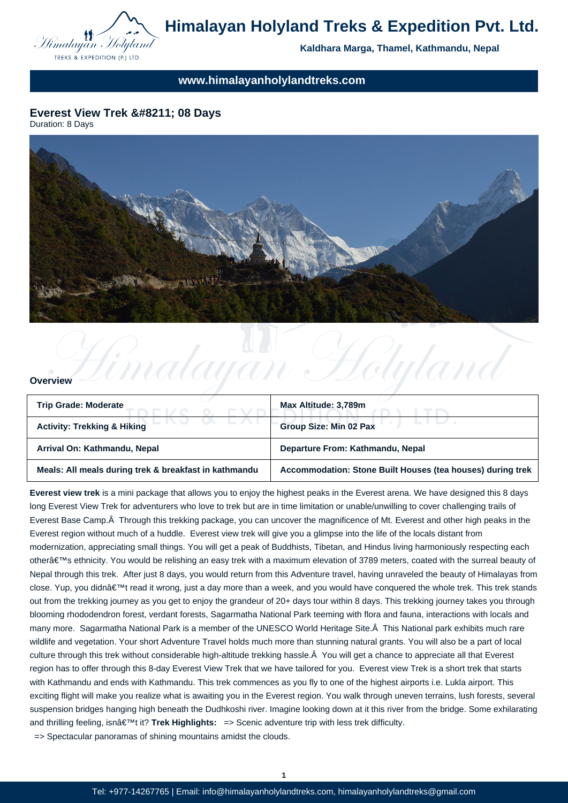

**Kaldhara Marga, Thamel, Kathmandu, Nepal**

**www.himalayanholylandtreks.com**

# **Everest View Trek – 08 Days**

Duration: 8 Days



## **Overview**

| Trip Grade: Moderate                                  | Max Altitude: 3,789m                                       |
|-------------------------------------------------------|------------------------------------------------------------|
| <b>Activity: Trekking &amp; Hiking</b>                | <b>Group Size: Min 02 Pax</b>                              |
| Arrival On: Kathmandu, Nepal                          | Departure From: Kathmandu, Nepal                           |
| Meals: All meals during trek & breakfast in kathmandu | Accommodation: Stone Built Houses (tea houses) during trek |

Limalayan Holyland

**Everest view trek** is a mini package that allows you to enjoy the highest peaks in the Everest arena. We have designed this 8 days long Everest View Trek for adventurers who love to trek but are in time limitation or unable/unwilling to cover challenging trails of Everest Base Camp. Â Through this trekking package, you can uncover the magnificence of Mt. Everest and other high peaks in the Everest region without much of a huddle. Everest view trek will give you a glimpse into the life of the locals distant from modernization, appreciating small things. You will get a peak of Buddhists, Tibetan, and Hindus living harmoniously respecting each other's ethnicity. You would be relishing an easy trek with a maximum elevation of 3789 meters, coated with the surreal beauty of Nepal through this trek. After just 8 days, you would return from this Adventure travel, having unraveled the beauty of Himalayas from close. Yup, you didn't read it wrong, just a day more than a week, and you would have conquered the whole trek. This trek stands out from the trekking journey as you get to enjoy the grandeur of 20+ days tour within 8 days. This trekking journey takes you through blooming rhododendron forest, verdant forests, Sagarmatha National Park teeming with flora and fauna, interactions with locals and many more. Sagarmatha National Park is a member of the UNESCO World Heritage Site. A This National park exhibits much rare wildlife and vegetation. Your short Adventure Travel holds much more than stunning natural grants. You will also be a part of local culture through this trek without considerable high-altitude trekking hassle. Â You will get a chance to appreciate all that Everest region has to offer through this 8-day Everest View Trek that we have tailored for you. Everest view Trek is a short trek that starts with Kathmandu and ends with Kathmandu. This trek commences as you fly to one of the highest airports i.e. Lukla airport. This exciting flight will make you realize what is awaiting you in the Everest region. You walk through uneven terrains, lush forests, several suspension bridges hanging high beneath the Dudhkoshi river. Imagine looking down at it this river from the bridge. Some exhilarating and thrilling feeling, isnâ€<sup>™</sup>t it? Trek Highlights: => Scenic adventure trip with less trek difficulty.

 => Spectacular panoramas of shining mountains amidst the clouds.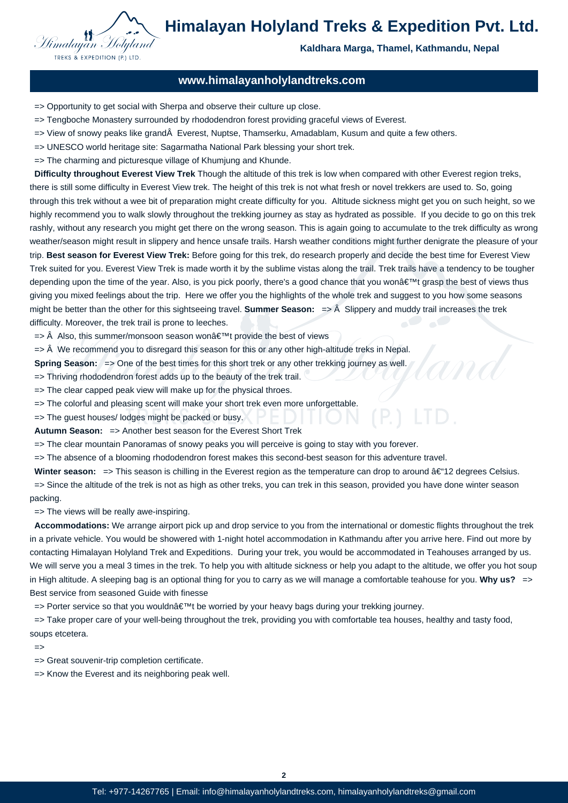

**Kaldhara Marga, Thamel, Kathmandu, Nepal**

# **www.himalayanholylandtreks.com**

 => Opportunity to get social with Sherpa and observe their culture up close.

- => Tengboche Monastery surrounded by rhododendron forest providing graceful views of Everest.
- $\Rightarrow$  View of snowy peaks like grand $\hat{A}$  Everest, Nuptse, Thamserku, Amadablam, Kusum and quite a few others.
- => UNESCO world heritage site: Sagarmatha National Park blessing your short trek.
- => The charming and picturesque village of Khumjung and Khunde.

 **Difficulty throughout Everest View Trek** Though the altitude of this trek is low when compared with other Everest region treks, there is still some difficulty in Everest View trek. The height of this trek is not what fresh or novel trekkers are used to. So, going through this trek without a wee bit of preparation might create difficulty for you. Altitude sickness might get you on such height, so we highly recommend you to walk slowly throughout the trekking journey as stay as hydrated as possible. If you decide to go on this trek rashly, without any research you might get there on the wrong season. This is again going to accumulate to the trek difficulty as wrong weather/season might result in slippery and hence unsafe trails. Harsh weather conditions might further denigrate the pleasure of your trip. **Best season for Everest View Trek:** Before going for this trek, do research properly and decide the best time for Everest View Trek suited for you. Everest View Trek is made worth it by the sublime vistas along the trail. Trek trails have a tendency to be tougher depending upon the time of the year. Also, is you pick poorly, there's a good chance that you won't grasp the best of views thus giving you mixed feelings about the trip. Here we offer you the highlights of the whole trek and suggest to you how some seasons might be better than the other for this sightseeing travel. **Summer Season:**  $\Rightarrow$  Â Slippery and muddy trail increases the trek difficulty. Moreover, the trek trail is prone to leeches.

- $\Rightarrow$  Â Also, this summer/monsoon season wonâ $\notin$ <sup>™t</sup> provide the best of views
- $\Rightarrow$   $\hat{A}$  We recommend you to disregard this season for this or any other high-altitude treks in Nepal.
- **Spring Season:**  $\Rightarrow$  One of the best times for this short trek or any other trekking journey as well.
- => Thriving rhododendron forest adds up to the beauty of the trek trail.
- => The clear capped peak view will make up for the physical throes.
- => The colorful and pleasing scent will make your short trek even more unforgettable.
- => The guest houses/ lodges might be packed or busy.

**Autumn Season:** => Another best season for the Everest Short Trek

 => The clear mountain Panoramas of snowy peaks you will perceive is going to stay with you forever.

 => The absence of a blooming rhododendron forest makes this second-best season for this adventure travel.

**Winter season:**  $\Rightarrow$  This season is chilling in the Everest region as the temperature can drop to around  $\hat{a} \in$  12 degrees Celsius.

 => Since the altitude of the trek is not as high as other treks, you can trek in this season, provided you have done winter season packing.

 => The views will be really awe-inspiring.

 **Accommodations:** We arrange airport pick up and drop service to you from the international or domestic flights throughout the trek in a private vehicle. You would be showered with 1-night hotel accommodation in Kathmandu after you arrive here. Find out more by contacting Himalayan Holyland Trek and Expeditions. During your trek, you would be accommodated in Teahouses arranged by us. We will serve you a meal 3 times in the trek. To help you with altitude sickness or help you adapt to the altitude, we offer you hot soup in High altitude. A sleeping bag is an optional thing for you to carry as we will manage a comfortable teahouse for you. Why us?  $\Rightarrow$ Best service from seasoned Guide with finesse

 $\Rightarrow$  Porter service so that you wouldnâ $\in \mathbb{N}$ t be worried by your heavy bags during your trekking journey.

 => Take proper care of your well-being throughout the trek, providing you with comfortable tea houses, healthy and tasty food, soups etcetera.

 $\Rightarrow$ 

 => Great souvenir-trip completion certificate.

 => Know the Everest and its neighboring peak well.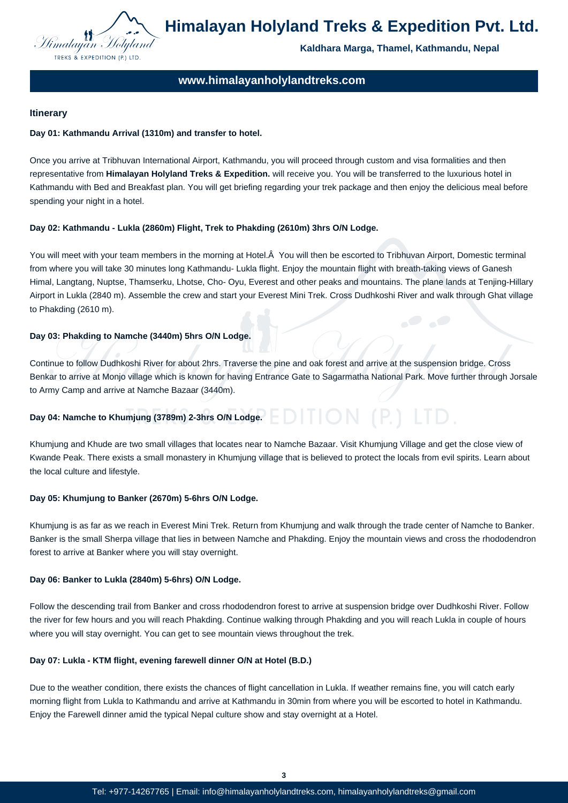

**Kaldhara Marga, Thamel, Kathmandu, Nepal**

# **www.himalayanholylandtreks.com**

## **Itinerary**

## **Day 01: Kathmandu Arrival (1310m) and transfer to hotel.**

Once you arrive at Tribhuvan International Airport, Kathmandu, you will proceed through custom and visa formalities and then representative from **Himalayan Holyland Treks & Expedition.** will receive you. You will be transferred to the luxurious hotel in Kathmandu with Bed and Breakfast plan. You will get briefing regarding your trek package and then enjoy the delicious meal before spending your night in a hotel.

## **Day 02: Kathmandu - Lukla (2860m) Flight, Trek to Phakding (2610m) 3hrs O/N Lodge.**

You will meet with your team members in the morning at Hotel. A You will then be escorted to Tribhuvan Airport, Domestic terminal from where you will take 30 minutes long Kathmandu- Lukla flight. Enjoy the mountain flight with breath-taking views of Ganesh Himal, Langtang, Nuptse, Thamserku, Lhotse, Cho- Oyu, Everest and other peaks and mountains. The plane lands at Tenjing-Hillary Airport in Lukla (2840 m). Assemble the crew and start your Everest Mini Trek. Cross Dudhkoshi River and walk through Ghat village to Phakding (2610 m).

## **Day 03: Phakding to Namche (3440m) 5hrs O/N Lodge.**

Continue to follow Dudhkoshi River for about 2hrs. Traverse the pine and oak forest and arrive at the suspension bridge. Cross Benkar to arrive at Monjo village which is known for having Entrance Gate to Sagarmatha National Park. Move further through Jorsale to Army Camp and arrive at Namche Bazaar (3440m).

## **Day 04: Namche to Khumjung (3789m) 2-3hrs O/N Lodge.**

Khumjung and Khude are two small villages that locates near to Namche Bazaar. Visit Khumjung Village and get the close view of Kwande Peak. There exists a small monastery in Khumjung village that is believed to protect the locals from evil spirits. Learn about the local culture and lifestyle.

#### **Day 05: Khumjung to Banker (2670m) 5-6hrs O/N Lodge.**

Khumjung is as far as we reach in Everest Mini Trek. Return from Khumjung and walk through the trade center of Namche to Banker. Banker is the small Sherpa village that lies in between Namche and Phakding. Enjoy the mountain views and cross the rhododendron forest to arrive at Banker where you will stay overnight.

#### **Day 06: Banker to Lukla (2840m) 5-6hrs) O/N Lodge.**

Follow the descending trail from Banker and cross rhododendron forest to arrive at suspension bridge over Dudhkoshi River. Follow the river for few hours and you will reach Phakding. Continue walking through Phakding and you will reach Lukla in couple of hours where you will stay overnight. You can get to see mountain views throughout the trek.

#### **Day 07: Lukla - KTM flight, evening farewell dinner O/N at Hotel (B.D.)**

Due to the weather condition, there exists the chances of flight cancellation in Lukla. If weather remains fine, you will catch early morning flight from Lukla to Kathmandu and arrive at Kathmandu in 30min from where you will be escorted to hotel in Kathmandu. Enjoy the Farewell dinner amid the typical Nepal culture show and stay overnight at a Hotel.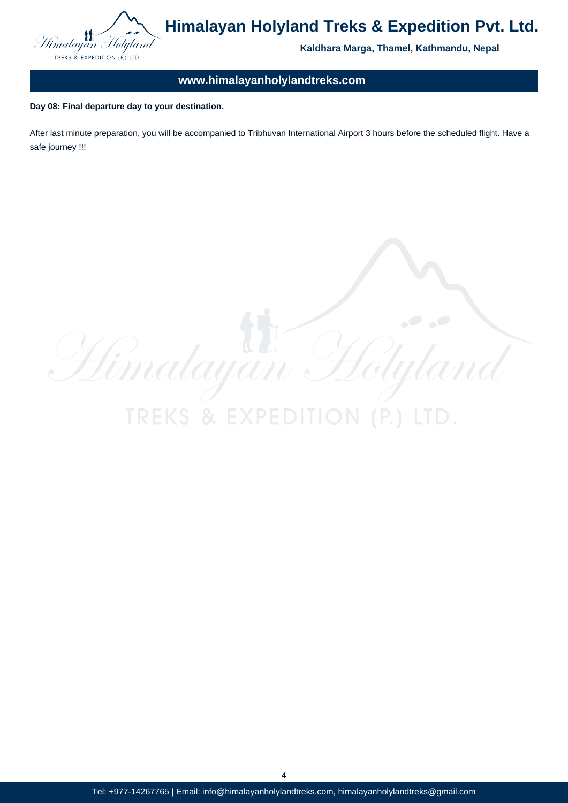

**Kaldhara Marga, Thamel, Kathmandu, Nepal**

# **www.himalayanholylandtreks.com**

**Day 08: Final departure day to your destination.**

After last minute preparation, you will be accompanied to Tribhuvan International Airport 3 hours before the scheduled flight. Have a safe journey !!!

Himalayan H ilyle **TREKS & EXPE** 

**4**